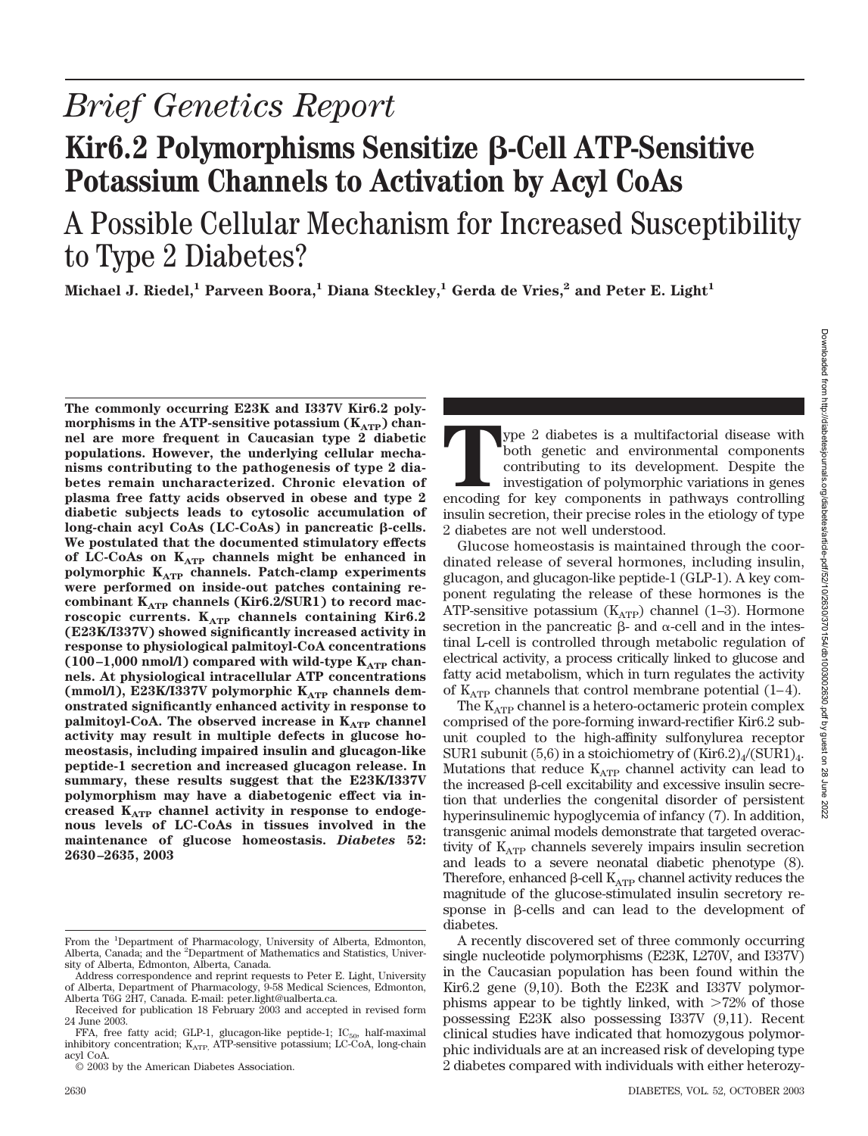# *Brief Genetics Report* **Kir6.2 Polymorphisms Sensitize β-Cell ATP-Sensitive Potassium Channels to Activation by Acyl CoAs**

# A Possible Cellular Mechanism for Increased Susceptibility to Type 2 Diabetes?

**Michael J. Riedel,<sup>1</sup> Parveen Boora,<sup>1</sup> Diana Steckley,<sup>1</sup> Gerda de Vries,<sup>2</sup> and Peter E. Light<sup>1</sup>** 

**The commonly occurring E23K and I337V Kir6.2 poly**morphisms in the ATP-sensitive potassium (K<sub>ATP</sub>) chan**nel are more frequent in Caucasian type 2 diabetic populations. However, the underlying cellular mechanisms contributing to the pathogenesis of type 2 diabetes remain uncharacterized. Chronic elevation of plasma free fatty acids observed in obese and type 2 diabetic subjects leads to cytosolic accumulation of**  $\log$ -chain acyl CoAs (LC-CoAs) in pancreatic  $\beta$ -cells. **We postulated that the documented stimulatory effects** of LC-CoAs on K<sub>ATP</sub> channels might be enhanced in **polymorphic KATP channels. Patch-clamp experiments were performed on inside-out patches containing re**combinant K<sub>ATP</sub> channels (Kir6.2/SUR1) to record mac**roscopic currents. K<sub>ATP</sub> channels containing Kir6.2 (E23K/I337V) showed significantly increased activity in response to physiological palmitoyl-CoA concentrations**  $(100-1,000 \text{ nmol/l})$  compared with wild-type  $K_{ATP}$  chan**nels. At physiological intracellular ATP concentrations** (mmol/l), E23K/I337V polymorphic K<sub>ATP</sub> channels dem**onstrated significantly enhanced activity in response to palmitoyl-CoA. The observed increase in K<sub>ATP</sub> channel activity may result in multiple defects in glucose homeostasis, including impaired insulin and glucagon-like peptide-1 secretion and increased glucagon release. In summary, these results suggest that the E23K/I337V polymorphism may have a diabetogenic effect via increased KATP channel activity in response to endogenous levels of LC-CoAs in tissues involved in the maintenance of glucose homeostasis.** *Diabetes* **52: 2630–2635, 2003**

**Type 2 diabetes is a multifactorial disease with both genetic and environmental components contributing to its development. Despite the investigation of polymorphic variations in genes encoding for key components in pathw** both genetic and environmental components contributing to its development. Despite the investigation of polymorphic variations in genes insulin secretion, their precise roles in the etiology of type 2 diabetes are not well understood.

Glucose homeostasis is maintained through the coordinated release of several hormones, including insulin, glucagon, and glucagon-like peptide-1 (GLP-1). A key component regulating the release of these hormones is the ATP-sensitive potassium  $(K<sub>ATP</sub>)$  channel (1–3). Hormone secretion in the pancreatic  $\beta$ - and  $\alpha$ -cell and in the intestinal L-cell is controlled through metabolic regulation of electrical activity, a process critically linked to glucose and fatty acid metabolism, which in turn regulates the activity of  $K_{ATP}$  channels that control membrane potential (1–4).

The  $K_{ATP}$  channel is a hetero-octameric protein complex comprised of the pore-forming inward-rectifier Kir6.2 subunit coupled to the high-affinity sulfonylurea receptor SUR1 subunit (5,6) in a stoichiometry of  $(Kir6.2)/(SUR1)_{4}$ . Mutations that reduce  $K_{ATP}$  channel activity can lead to the increased  $\beta$ -cell excitability and excessive insulin secretion that underlies the congenital disorder of persistent hyperinsulinemic hypoglycemia of infancy (7). In addition, transgenic animal models demonstrate that targeted overactivity of  $K_{ATP}$  channels severely impairs insulin secretion and leads to a severe neonatal diabetic phenotype (8). Therefore, enhanced  $\beta$ -cell  $K_{ATP}$  channel activity reduces the magnitude of the glucose-stimulated insulin secretory response in  $\beta$ -cells and can lead to the development of diabetes.

A recently discovered set of three commonly occurring single nucleotide polymorphisms (E23K, L270V, and I337V) in the Caucasian population has been found within the Kir6.2 gene (9,10). Both the E23K and I337V polymorphisms appear to be tightly linked, with  $>72\%$  of those possessing E23K also possessing I337V (9,11). Recent clinical studies have indicated that homozygous polymorphic individuals are at an increased risk of developing type 2 diabetes compared with individuals with either heterozy-

From the <sup>1</sup>Department of Pharmacology, University of Alberta, Edmonton, Alberta, Canada; and the <sup>2</sup>Department of Mathematics and Statistics, University of Alberta, Edmonton, Alberta, Canada.

Address correspondence and reprint requests to Peter E. Light, University of Alberta, Department of Pharmacology, 9-58 Medical Sciences, Edmonton, Alberta T6G 2H7, Canada. E-mail: peter.light@ualberta.ca.

Received for publication 18 February 2003 and accepted in revised form 24 June 2003.

FFA, free fatty acid; GLP-1, glucagon-like peptide-1;  $IC_{50}$ , half-maximal inhibitory concentration; K<sub>ATP,</sub> ATP-sensitive potassium; LC-CoA, long-chain acyl CoA.

<sup>© 2003</sup> by the American Diabetes Association.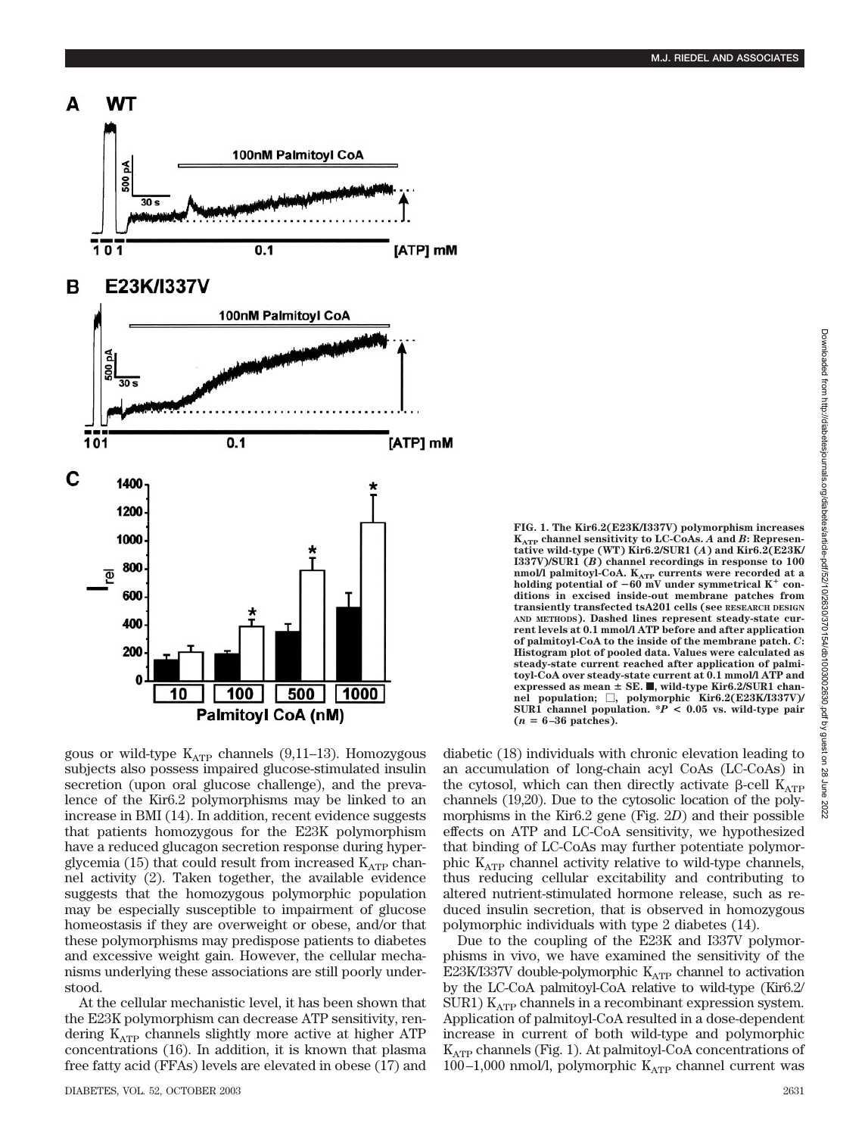

gous or wild-type  $K_{ATP}$  channels (9,11–13). Homozygous subjects also possess impaired glucose-stimulated insulin secretion (upon oral glucose challenge), and the prevalence of the Kir6.2 polymorphisms may be linked to an increase in BMI (14). In addition, recent evidence suggests that patients homozygous for the E23K polymorphism have a reduced glucagon secretion response during hyperglycemia (15) that could result from increased  $K_{ATP}$  channel activity (2). Taken together, the available evidence suggests that the homozygous polymorphic population may be especially susceptible to impairment of glucose homeostasis if they are overweight or obese, and/or that these polymorphisms may predispose patients to diabetes and excessive weight gain. However, the cellular mechanisms underlying these associations are still poorly understood.

At the cellular mechanistic level, it has been shown that the E23K polymorphism can decrease ATP sensitivity, rendering KATP channels slightly more active at higher ATP concentrations (16). In addition, it is known that plasma free fatty acid (FFAs) levels are elevated in obese (17) and

**FIG. 1. The Kir6.2(E23K/I337V) polymorphism increases**  $K_{ATP}$  channel sensitivity to LC-CoAs. *A* and *B*: Represen**tative wild-type (WT) Kir6.2/SUR1 (***A***) and Kir6.2(E23K/ I337V)/SUR1 (***B***) channel recordings in response to 100** <code>nmol/l palmitoyl-CoA. K<sub>ATP</sub> currents were recorded at a</code> holding potential of  $-60$  mV under symmetrical K<sup>+</sup> con**ditions in excised inside-out membrane patches from transiently transfected tsA201 cells (see RESEARCH DESIGN AND METHODS). Dashed lines represent steady-state current levels at 0.1 mmol/l ATP before and after application of palmitoyl-CoA to the inside of the membrane patch.** *C***: Histogram plot of pooled data. Values were calculated as steady-state current reached after application of palmitoyl-CoA over steady-state current at 0.1 mmol/l ATP and expressed as mean SE.** f**, wild-type Kir6.2/SUR1 chan-nel population; , polymorphic Kir6.2(E23K/I337V)/ SUR1 channel population. \****P* **< 0.05 vs. wild-type pair**  $(n = 6-36$  patches).

diabetic (18) individuals with chronic elevation leading to an accumulation of long-chain acyl CoAs (LC-CoAs) in the cytosol, which can then directly activate  $\beta$ -cell  $K_{ATP}$ channels (19,20). Due to the cytosolic location of the polymorphisms in the Kir6.2 gene (Fig. 2*D*) and their possible effects on ATP and LC-CoA sensitivity, we hypothesized that binding of LC-CoAs may further potentiate polymorphic  $K_{ATP}$  channel activity relative to wild-type channels, thus reducing cellular excitability and contributing to altered nutrient-stimulated hormone release, such as reduced insulin secretion, that is observed in homozygous polymorphic individuals with type 2 diabetes (14).

Due to the coupling of the E23K and I337V polymorphisms in vivo, we have examined the sensitivity of the E23K/I337V double-polymorphic  $K_{ATP}$  channel to activation by the LC-CoA palmitoyl-CoA relative to wild-type (Kir6.2/ SUR1)  $K_{ATP}$  channels in a recombinant expression system. Application of palmitoyl-CoA resulted in a dose-dependent increase in current of both wild-type and polymorphic  $K_{ATP}$  channels (Fig. 1). At palmitoyl-CoA concentrations of 100–1,000 nmol/l, polymorphic  $K_{ATP}$  channel current was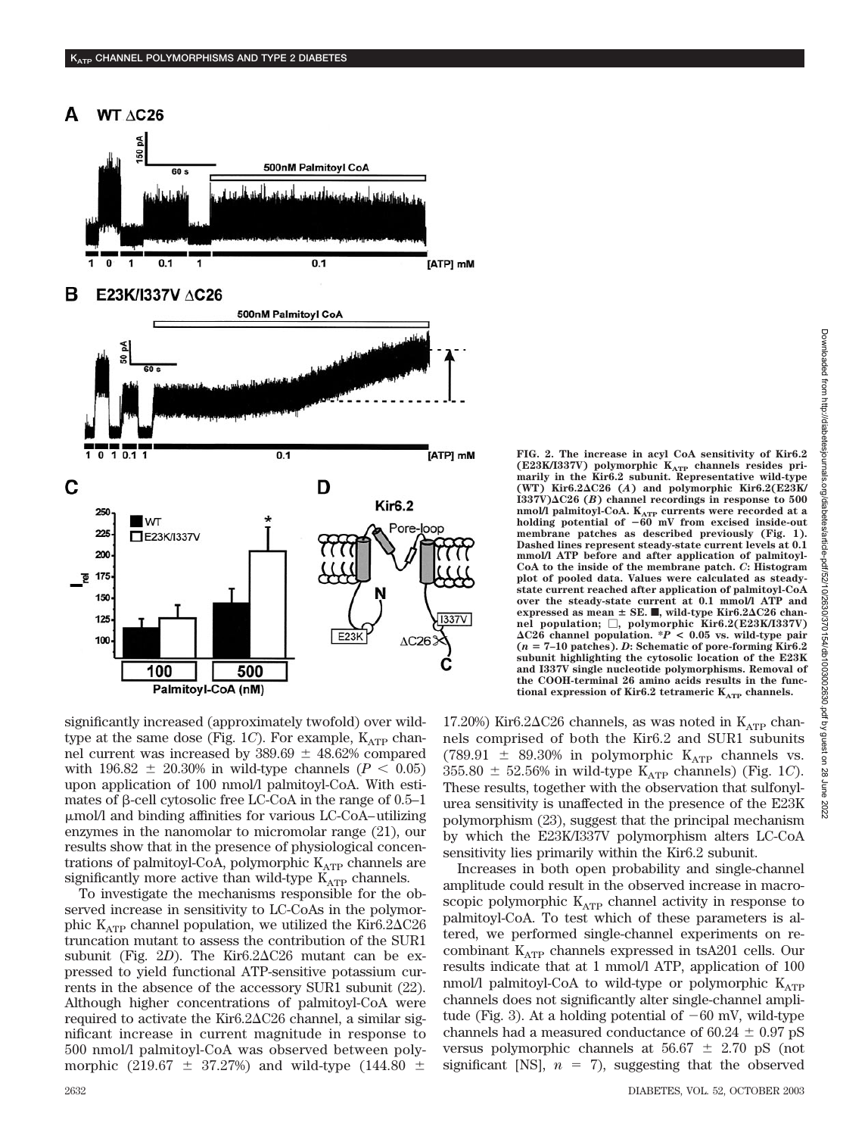

significantly increased (approximately twofold) over wildtype at the same dose (Fig. 1C). For example,  $K_{ATP}$  channel current was increased by  $389.69 \pm 48.62\%$  compared with 196.82  $\pm$  20.30% in wild-type channels (*P* < 0.05) upon application of 100 nmol/l palmitoyl-CoA. With estimates of  $\beta$ -cell cytosolic free LC-CoA in the range of 0.5–1 mol/l and binding affinities for various LC-CoA–utilizing enzymes in the nanomolar to micromolar range (21), our results show that in the presence of physiological concentrations of palmitoyl-CoA, polymorphic  $K_{ATP}$  channels are significantly more active than wild-type  $K_{ATP}$  channels.

To investigate the mechanisms responsible for the observed increase in sensitivity to LC-CoAs in the polymorphic  $K_{ATP}$  channel population, we utilized the Kir6.2 $\Delta$ C26 truncation mutant to assess the contribution of the SUR1 subunit (Fig. 2D). The Kir<sub>6.2</sub> $\Delta$ C<sub>26</sub> mutant can be expressed to yield functional ATP-sensitive potassium currents in the absence of the accessory SUR1 subunit (22). Although higher concentrations of palmitoyl-CoA were required to activate the Kir<sub>6</sub>.2 $\Delta$ C<sub>26</sub> channel, a similar significant increase in current magnitude in response to 500 nmol/l palmitoyl-CoA was observed between polymorphic (219.67  $\pm$  37.27%) and wild-type (144.80  $\pm$  Downloaded from http://diabetesjournals.org/diabetes/article-pdf/52/10/2630/370154/db1003002630.pdf by guest on Downloaded from http://diabetesjournals.org/diabetes/article-pdf/52/10/2630/370154/db1003002630.pdf by guest on 28 June 202228 June 2022

**FIG. 2. The increase in acyl CoA sensitivity of Kir6.2** (E23K/I337V) polymorphic K<sub>ATP</sub> channels resides pri-<br>marily in the Kir6.2 subunit. Representative wild-type **(WT) Kir6.2C26 (***A***) and polymorphic Kir6.2(E23K/ I337V)C26 (***B***) channel recordings in response to 500 nmol/l palmitoyl-CoA. KATP currents were recorded at a holding potential of** -**60 mV from excised inside-out membrane patches as described previously (Fig. 1). Dashed lines represent steady-state current levels at 0.1 mmol/l ATP before and after application of palmitoyl-CoA to the inside of the membrane patch.** *C***: Histogram plot of pooled data. Values were calculated as steadystate current reached after application of palmitoyl-CoA over the steady-state current at 0.1 mmol/l ATP and expressed as mean**  $\pm$  **SE.**  $\blacksquare$ , wild-type Kir6.2 $\Delta$ C26 chan**nel population; , polymorphic Kir6.2(E23K/I337V) C26 channel population. \****P* **< 0.05 vs. wild-type pair (***n* **7–10 patches).** *D***: Schematic of pore-forming Kir6.2 subunit highlighting the cytosolic location of the E23K and I337V single nucleotide polymorphisms. Removal of the COOH-terminal 26 amino acids results in the functional expression of Kir6.2 tetrameric**  $K_{ATP}$  **channels.** 

17.20%) Kir6.2 $\Delta$ C26 channels, as was noted in K<sub>ATP</sub> channels comprised of both the Kir6.2 and SUR1 subunits (789.91  $\pm$  89.30% in polymorphic K<sub>ATP</sub> channels vs.  $355.80 \pm 52.56\%$  in wild-type K<sub>ATP</sub> channels) (Fig. 1*C*). These results, together with the observation that sulfonylurea sensitivity is unaffected in the presence of the E23K polymorphism (23), suggest that the principal mechanism by which the E23K/I337V polymorphism alters LC-CoA sensitivity lies primarily within the Kir6.2 subunit.

Increases in both open probability and single-channel amplitude could result in the observed increase in macroscopic polymorphic  $K_{ATP}$  channel activity in response to palmitoyl-CoA. To test which of these parameters is altered, we performed single-channel experiments on recombinant  $K_{ATP}$  channels expressed in tsA201 cells. Our results indicate that at 1 mmol/l ATP, application of 100 nmol/l palmitoyl-CoA to wild-type or polymorphic  $K_{ATP}$ channels does not significantly alter single-channel amplitude (Fig. 3). At a holding potential of  $-60$  mV, wild-type channels had a measured conductance of  $60.24 \pm 0.97$  pS versus polymorphic channels at  $56.67 \pm 2.70$  pS (not significant [NS],  $n = 7$ ), suggesting that the observed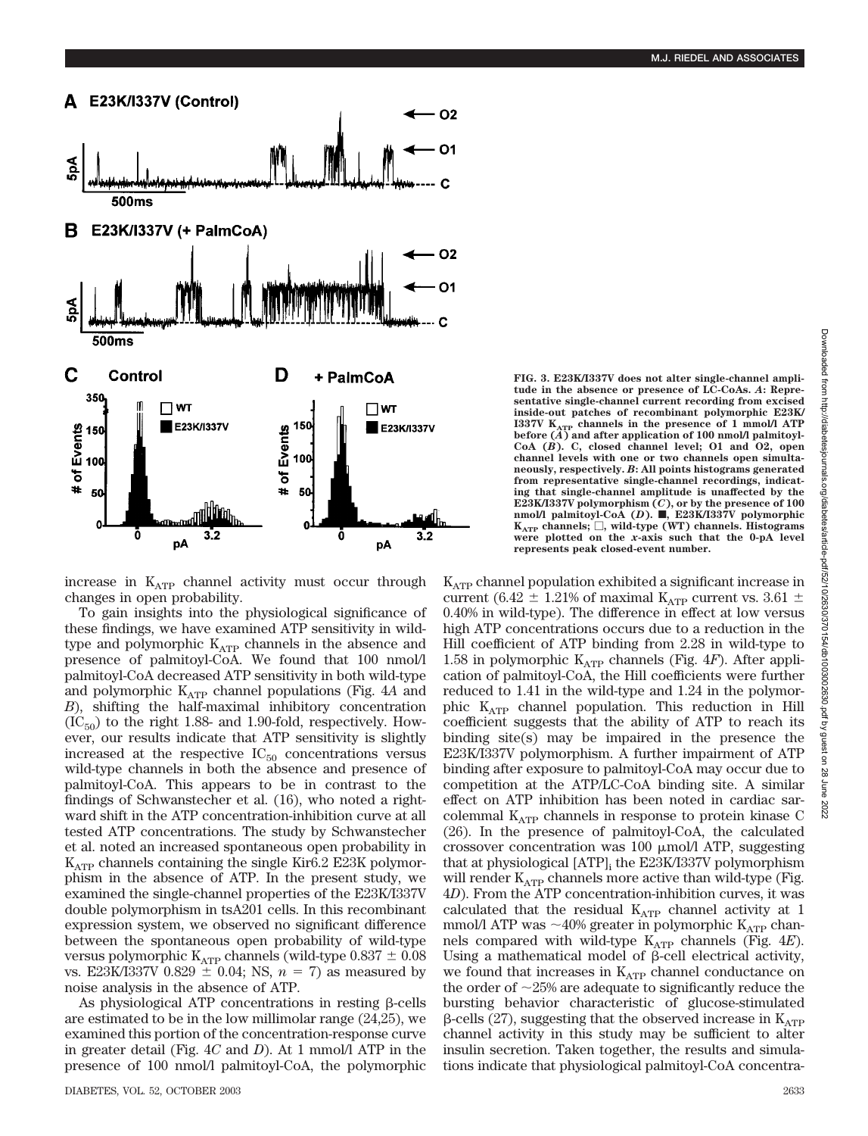

increase in  $K_{ATP}$  channel activity must occur through changes in open probability.

To gain insights into the physiological significance of these findings, we have examined ATP sensitivity in wildtype and polymorphic  $K_{ATP}$  channels in the absence and presence of palmitoyl-CoA. We found that 100 nmol/l palmitoyl-CoA decreased ATP sensitivity in both wild-type and polymorphic  $K_{ATP}$  channel populations (Fig. 4A and *B*), shifting the half-maximal inhibitory concentration  $(IC_{50})$  to the right 1.88- and 1.90-fold, respectively. However, our results indicate that ATP sensitivity is slightly increased at the respective  $IC_{50}$  concentrations versus wild-type channels in both the absence and presence of palmitoyl-CoA. This appears to be in contrast to the findings of Schwanstecher et al. (16), who noted a rightward shift in the ATP concentration-inhibition curve at all tested ATP concentrations. The study by Schwanstecher et al. noted an increased spontaneous open probability in  $K_{ATP}$  channels containing the single Kir6.2 E23K polymorphism in the absence of ATP. In the present study, we examined the single-channel properties of the E23K/I337V double polymorphism in tsA201 cells. In this recombinant expression system, we observed no significant difference between the spontaneous open probability of wild-type versus polymorphic  $K_{ATP}$  channels (wild-type 0.837  $\pm$  0.08 vs. E23K/I337V  $0.829 \pm 0.04$ ; NS,  $n = 7$ ) as measured by noise analysis in the absence of ATP.

As physiological ATP concentrations in resting  $\beta$ -cells are estimated to be in the low millimolar range (24,25), we examined this portion of the concentration-response curve in greater detail (Fig. 4*C* and *D*). At 1 mmol/l ATP in the presence of 100 nmol/l palmitoyl-CoA, the polymorphic **FIG. 3. E23K/I337V does not alter single-channel amplitude in the absence or presence of LC-CoAs.** *A***: Representative single-channel current recording from excised inside-out patches of recombinant polymorphic E23K/ I337V KATP channels in the presence of 1 mmol/l ATP before (***A***) and after application of 100 nmol/l palmitoyl-CoA (***B***). C, closed channel level; O1 and O2, open channel levels with one or two channels open simultaneously, respectively.** *B***: All points histograms generated from representative single-channel recordings, indicating that single-channel amplitude is unaffected by the E23K/I337V polymorphism (***C***), or by the presence of 100 nmol/l palmitoyl-CoA (***D***).** f**, E23K/I337V polymorphic**  $K_{ATP}$  **channels;**  $\Box$ , wild-type (WT) channels. Histograms **were plotted on the** *x***-axis such that the 0-pA level represents peak closed-event number.**

 $K_{ATP}$  channel population exhibited a significant increase in current (6.42  $\pm$  1.21% of maximal K<sub>ATP</sub> current vs. 3.61  $\pm$ 0.40% in wild-type). The difference in effect at low versus high ATP concentrations occurs due to a reduction in the Hill coefficient of ATP binding from 2.28 in wild-type to 1.58 in polymorphic  $K_{ATP}$  channels (Fig. 4*F*). After application of palmitoyl-CoA, the Hill coefficients were further reduced to 1.41 in the wild-type and 1.24 in the polymorphic  $K_{ATP}$  channel population. This reduction in Hill coefficient suggests that the ability of ATP to reach its binding site(s) may be impaired in the presence the E23K/I337V polymorphism. A further impairment of ATP binding after exposure to palmitoyl-CoA may occur due to competition at the ATP/LC-CoA binding site. A similar effect on ATP inhibition has been noted in cardiac sarcolemmal  $K_{ATP}$  channels in response to protein kinase C (26). In the presence of palmitoyl-CoA, the calculated crossover concentration was 100  $\mu$ mol/l ATP, suggesting that at physiological [ATP]<sub>i</sub> the E23K/I337V polymorphism will render  $K_{ATP}$  channels more active than wild-type (Fig. 4*D*). From the ATP concentration-inhibition curves, it was calculated that the residual  $K_{ATP}$  channel activity at 1 mmol/l ATP was  ${\sim}40\%$  greater in polymorphic  $\rm{K}_{ATP}$  channels compared with wild-type KATP channels (Fig. 4*E*). Using a mathematical model of  $\beta$ -cell electrical activity, we found that increases in  $K_{ATP}$  channel conductance on the order of 25% are adequate to significantly reduce the bursting behavior characteristic of glucose-stimulated  $\beta$ -cells (27), suggesting that the observed increase in  $K_{ATP}$ channel activity in this study may be sufficient to alter insulin secretion. Taken together, the results and simulations indicate that physiological palmitoyl-CoA concentra-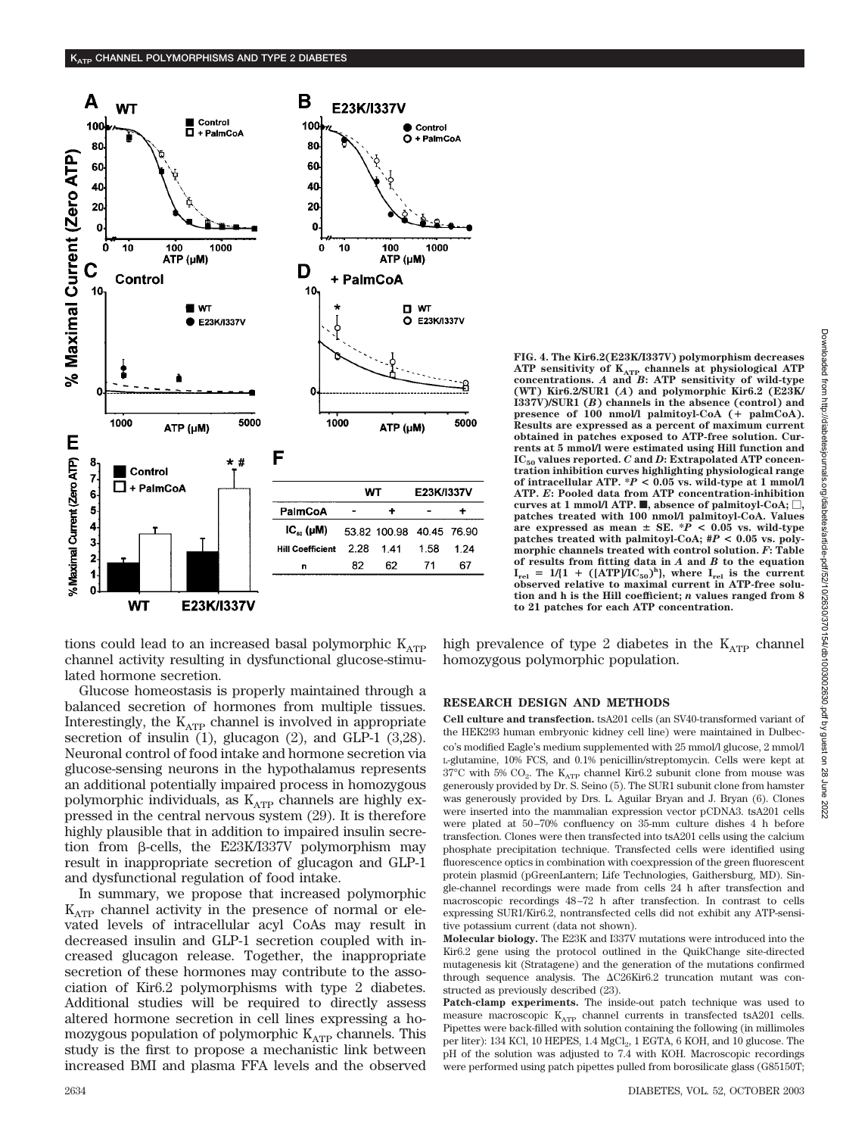

tions could lead to an increased basal polymorphic  $K_{ATP}$ channel activity resulting in dysfunctional glucose-stimulated hormone secretion.

Glucose homeostasis is properly maintained through a balanced secretion of hormones from multiple tissues. Interestingly, the  $K_{ATP}$  channel is involved in appropriate secretion of insulin (1), glucagon (2), and GLP-1 (3,28). Neuronal control of food intake and hormone secretion via glucose-sensing neurons in the hypothalamus represents an additional potentially impaired process in homozygous polymorphic individuals, as  $K_{ATP}$  channels are highly expressed in the central nervous system (29). It is therefore highly plausible that in addition to impaired insulin secretion from  $\beta$ -cells, the E23K/I337V polymorphism may result in inappropriate secretion of glucagon and GLP-1 and dysfunctional regulation of food intake.

In summary, we propose that increased polymorphic  $K_{ATP}$  channel activity in the presence of normal or elevated levels of intracellular acyl CoAs may result in decreased insulin and GLP-1 secretion coupled with increased glucagon release. Together, the inappropriate secretion of these hormones may contribute to the association of Kir6.2 polymorphisms with type 2 diabetes. Additional studies will be required to directly assess altered hormone secretion in cell lines expressing a homozygous population of polymorphic  $K_{ATP}$  channels. This study is the first to propose a mechanistic link between increased BMI and plasma FFA levels and the observed **FIG. 4. The Kir6.2(E23K/I337V) polymorphism decreases ATP sensitivity of KATP channels at physiological ATP concentrations.** *A* **and** *B***: ATP sensitivity of wild-type (WT) Kir6.2/SUR1 (***A***) and polymorphic Kir6.2 (E23K/ I337V)/SUR1 (***B***) channels in the absence (control) and presence of 100 nmol/l palmitoyl-CoA ( palmCoA). Results are expressed as a percent of maximum current obtained in patches exposed to ATP-free solution. Currents at 5 mmol/l were estimated using Hill function and** IC<sub>50</sub> values reported. C and D: Extrapolated ATP concen**tration inhibition curves highlighting physiological range of intracellular ATP. \****P* **< 0.05 vs. wild-type at 1 mmol/l ATP.** *E***: Pooled data from ATP concentration-inhibition curves at 1 mmol/l ATP.**  $\blacksquare$ , absence of palmitoyl-CoA;  $\Box$ , **patches treated with 100 nmol/l palmitoyl-CoA. Values are expressed as mean SE. \****P* **< 0.05 vs. wild-type patches treated with palmitoyl-CoA; #***P* **< 0.05 vs. polymorphic channels treated with control solution.** *F***: Table of results from fitting data in** *A* **and** *B* **to the equation**  $I_{rel} = 1/(1 + ([ATP) \tilde{I} C_{50})^h$ , where  $I_{rel}$  is the current **observed relative to maximal current in ATP-free solution and h is the Hill coefficient;** *n* **values ranged from 8 to 21 patches for each ATP concentration.**

high prevalence of type 2 diabetes in the  $K_{ATP}$  channel homozygous polymorphic population.

## **RESEARCH DESIGN AND METHODS**

**Cell culture and transfection.** tsA201 cells (an SV40-transformed variant of the HEK293 human embryonic kidney cell line) were maintained in Dulbecco's modified Eagle's medium supplemented with 25 mmol/l glucose, 2 mmol/l L-glutamine, 10% FCS, and 0.1% penicillin/streptomycin. Cells were kept at  $37^{\circ}\mathrm{C}$  with 5%  $\mathrm{CO}_2$ . The  $\mathrm{K}_{\mathrm{ATP}}$  channel Kir6.2 subunit clone from mouse was generously provided by Dr. S. Seino (5). The SUR1 subunit clone from hamster was generously provided by Drs. L. Aguilar Bryan and J. Bryan (6). Clones were inserted into the mammalian expression vector pCDNA3. tsA201 cells were plated at 50–70% confluency on 35-mm culture dishes 4 h before transfection. Clones were then transfected into tsA201 cells using the calcium phosphate precipitation technique. Transfected cells were identified using fluorescence optics in combination with coexpression of the green fluorescent protein plasmid (pGreenLantern; Life Technologies, Gaithersburg, MD). Single-channel recordings were made from cells 24 h after transfection and macroscopic recordings 48–72 h after transfection. In contrast to cells expressing SUR1/Kir6.2, nontransfected cells did not exhibit any ATP-sensitive potassium current (data not shown).

**Molecular biology.** The E23K and I337V mutations were introduced into the Kir6.2 gene using the protocol outlined in the QuikChange site-directed mutagenesis kit (Stratagene) and the generation of the mutations confirmed through sequence analysis. The  $\Delta$ C26Kir6.2 truncation mutant was constructed as previously described (23).

**Patch-clamp experiments.** The inside-out patch technique was used to measure macroscopic  $K_{ATP}$  channel currents in transfected tsA201 cells. Pipettes were back-filled with solution containing the following (in millimoles per liter): 134 KCl, 10 HEPES, 1.4  $MgCl<sub>2</sub>$ , 1 EGTA, 6 KOH, and 10 glucose. The pH of the solution was adjusted to 7.4 with KOH. Macroscopic recordings were performed using patch pipettes pulled from borosilicate glass (G85150T;